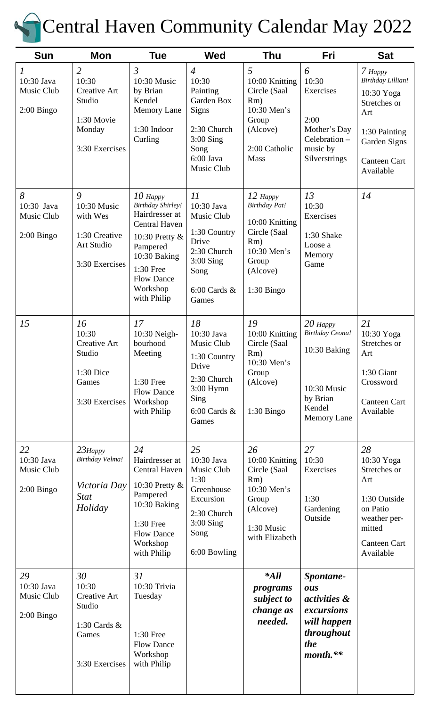

# Central Haven Community Calendar May 2022

| <b>Sun</b>                                                | Mon                                                                                                | <b>Tue</b>                                                                                                                                                                           | <b>Wed</b>                                                                                                                  | <b>Thu</b>                                                                                                               | Fri                                                                                                          | <b>Sat</b>                                                                                                                             |
|-----------------------------------------------------------|----------------------------------------------------------------------------------------------------|--------------------------------------------------------------------------------------------------------------------------------------------------------------------------------------|-----------------------------------------------------------------------------------------------------------------------------|--------------------------------------------------------------------------------------------------------------------------|--------------------------------------------------------------------------------------------------------------|----------------------------------------------------------------------------------------------------------------------------------------|
| $\mathcal{I}$<br>10:30 Java<br>Music Club<br>$2:00$ Bingo | $\overline{2}$<br>10:30<br><b>Creative Art</b><br>Studio<br>1:30 Movie<br>Monday<br>3:30 Exercises | $\mathfrak{Z}$<br>10:30 Music<br>by Brian<br>Kendel<br><b>Memory Lane</b><br>1:30 Indoor<br>Curling                                                                                  | $\overline{4}$<br>10:30<br>Painting<br>Garden Box<br>Signs<br>2:30 Church<br>$3:00$ Sing<br>Song<br>6:00 Java<br>Music Club | 5<br>10:00 Knitting<br>Circle (Saal<br>Rm)<br>10:30 Men's<br>Group<br>(Alcove)<br>2:00 Catholic<br><b>Mass</b>           | 6<br>10:30<br>Exercises<br>2:00<br>Mother's Day<br>Celebration-<br>music by<br>Silverstrings                 | 7 Happy<br>Birthday Lillian!<br>10:30 Yoga<br>Stretches or<br>Art<br>1:30 Painting<br>Garden Signs<br><b>Canteen Cart</b><br>Available |
| 8<br>10:30 Java<br>Music Club<br>$2:00$ Bingo             | 9<br>10:30 Music<br>with Wes<br>1:30 Creative<br>Art Studio<br>3:30 Exercises                      | $10$ Happy<br><b>Birthday Shirley!</b><br>Hairdresser at<br>Central Haven<br>10:30 Pretty &<br>Pampered<br>10:30 Baking<br>1:30 Free<br><b>Flow Dance</b><br>Workshop<br>with Philip | 11<br>10:30 Java<br>Music Club<br>1:30 Country<br>Drive<br>2:30 Church<br>$3:00$ Sing<br>Song<br>$6:00$ Cards $\&$<br>Games | $12$ Happy<br>Birthday Pat!<br>10:00 Knitting<br>Circle (Saal<br>Rm)<br>10:30 Men's<br>Group<br>(Alcove)<br>$1:30$ Bingo | 13<br>10:30<br>Exercises<br>1:30 Shake<br>Loose a<br>Memory<br>Game                                          | 14                                                                                                                                     |
| 15                                                        | 16<br>10:30<br><b>Creative Art</b><br>Studio<br>1:30 Dice<br>Games<br>3:30 Exercises               | 17<br>10:30 Neigh-<br>bourhood<br>Meeting<br>1:30 Free<br><b>Flow Dance</b><br>Workshop<br>with Philip                                                                               | 18<br>10:30 Java<br>Music Club<br>1:30 Country<br>Drive<br>2:30 Church<br>$3:00$ Hymn<br>Sing<br>$6:00$ Cards $\&$<br>Games | 19<br>10:00 Knitting<br>Circle (Saal<br>Rm)<br>10:30 Men's<br>Group<br>(Alcove)<br>$1:30$ Bingo                          | $20$ Happy<br>Birthday Ceona!<br>10:30 Baking<br>10:30 Music<br>by Brian<br>Kendel<br><b>Memory Lane</b>     | 21<br>10:30 Yoga<br>Stretches or<br>Art<br>1:30 Giant<br>Crossword<br>Canteen Cart<br>Available                                        |
| 22<br>10:30 Java<br>Music Club<br>$2:00$ Bingo            | $23$ Happy<br>Birthday Velma!<br>Victoria Day<br><b>Stat</b><br>Holiday                            | 24<br>Hairdresser at<br><b>Central Haven</b><br>10:30 Pretty &<br>Pampered<br>10:30 Baking<br>1:30 Free<br><b>Flow Dance</b><br>Workshop<br>with Philip                              | 25<br>10:30 Java<br>Music Club<br>1:30<br>Greenhouse<br>Excursion<br>2:30 Church<br>$3:00$ Sing<br>Song<br>6:00 Bowling     | 26<br>10:00 Knitting<br>Circle (Saal<br>Rm)<br>10:30 Men's<br>Group<br>(Alcove)<br>1:30 Music<br>with Elizabeth          | 27<br>10:30<br>Exercises<br>1:30<br>Gardening<br>Outside                                                     | 28<br>10:30 Yoga<br>Stretches or<br>Art<br>1:30 Outside<br>on Patio<br>weather per-<br>mitted<br><b>Canteen Cart</b><br>Available      |
| 29<br>10:30 Java<br>Music Club<br>$2:00$ Bingo            | 30<br>10:30<br><b>Creative Art</b><br>Studio<br>1:30 Cards &<br>Games<br>3:30 Exercises            | 31<br>10:30 Trivia<br>Tuesday<br>1:30 Free<br><b>Flow Dance</b><br>Workshop<br>with Philip                                                                                           |                                                                                                                             | $*All$<br>programs<br>subject to<br>change as<br>needed.                                                                 | Spontane-<br>ous<br><i>activities</i> &<br>excursions<br>will happen<br>throughout<br><i>the</i><br>month.** |                                                                                                                                        |